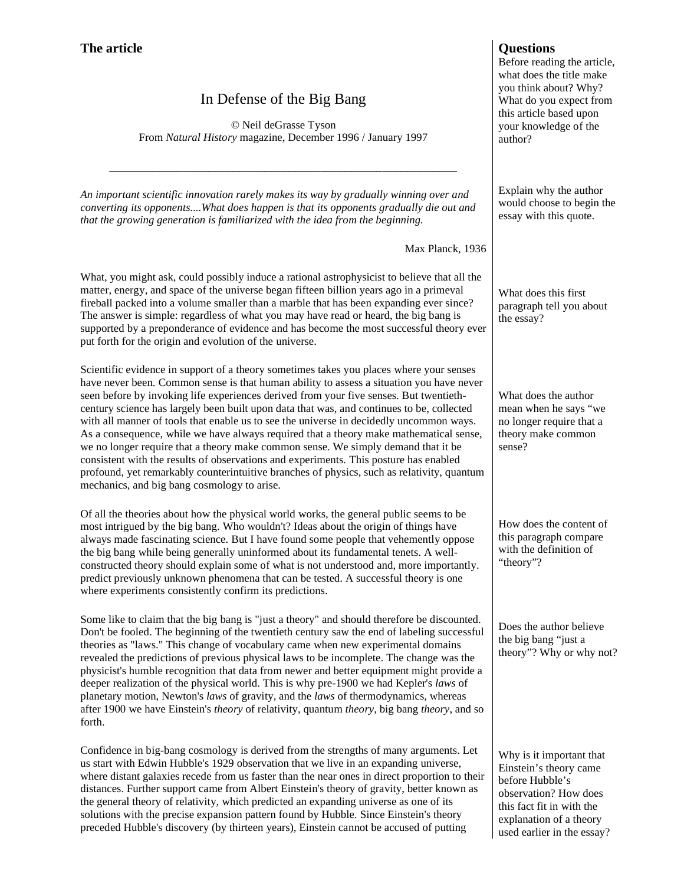## In Defense of the Big Bang

© Neil deGrasse Tyson From *Natural History* magazine, December 1996 / January 1997

\_\_\_\_\_\_\_\_\_\_\_\_\_\_\_\_\_\_\_\_\_\_\_\_\_\_\_\_\_\_\_\_\_\_\_\_\_\_\_\_\_\_\_\_\_\_\_\_\_\_\_\_\_\_\_\_

*An important scientific innovation rarely makes its way by gradually winning over and converting its opponents....What does happen is that its opponents gradually die out and that the growing generation is familiarized with the idea from the beginning.*

Max Planck, 1936

What, you might ask, could possibly induce a rational astrophysicist to believe that all the matter, energy, and space of the universe began fifteen billion years ago in a primeval fireball packed into a volume smaller than a marble that has been expanding ever since? The answer is simple: regardless of what you may have read or heard, the big bang is supported by a preponderance of evidence and has become the most successful theory ever put forth for the origin and evolution of the universe.

Scientific evidence in support of a theory sometimes takes you places where your senses have never been. Common sense is that human ability to assess a situation you have never seen before by invoking life experiences derived from your five senses. But twentiethcentury science has largely been built upon data that was, and continues to be, collected with all manner of tools that enable us to see the universe in decidedly uncommon ways. As a consequence, while we have always required that a theory make mathematical sense, we no longer require that a theory make common sense. We simply demand that it be consistent with the results of observations and experiments. This posture has enabled profound, yet remarkably counterintuitive branches of physics, such as relativity, quantum mechanics, and big bang cosmology to arise.

Of all the theories about how the physical world works, the general public seems to be most intrigued by the big bang. Who wouldn't? Ideas about the origin of things have always made fascinating science. But I have found some people that vehemently oppose the big bang while being generally uninformed about its fundamental tenets. A wellconstructed theory should explain some of what is not understood and, more importantly. predict previously unknown phenomena that can be tested. A successful theory is one where experiments consistently confirm its predictions.

Some like to claim that the big bang is "just a theory" and should therefore be discounted. Don't be fooled. The beginning of the twentieth century saw the end of labeling successful theories as "laws." This change of vocabulary came when new experimental domains revealed the predictions of previous physical laws to be incomplete. The change was the physicist's humble recognition that data from newer and better equipment might provide a deeper realization of the physical world. This is why pre-1900 we had Kepler's *laws* of planetary motion, Newton's *laws* of gravity, and the *laws* of thermodynamics, whereas after 1900 we have Einstein's *theory* of relativity, quantum *theory*, big bang *theory*, and so forth.

Confidence in big-bang cosmology is derived from the strengths of many arguments. Let us start with Edwin Hubble's 1929 observation that we live in an expanding universe, where distant galaxies recede from us faster than the near ones in direct proportion to their distances. Further support came from Albert Einstein's theory of gravity, better known as the general theory of relativity, which predicted an expanding universe as one of its solutions with the precise expansion pattern found by Hubble. Since Einstein's theory preceded Hubble's discovery (by thirteen years), Einstein cannot be accused of putting

Before reading the article, what does the title make you think about? Why? What do you expect from this article based upon your knowledge of the author?

Explain why the author would choose to begin the essay with this quote.

What does this first paragraph tell you about the essay?

What does the author mean when he says "we no longer require that a theory make common sense?

How does the content of this paragraph compare with the definition of "theory"?

Does the author believe the big bang "just a theory"? Why or why not?

Why is it important that Einstein's theory came before Hubble's observation? How does this fact fit in with the explanation of a theory used earlier in the essay?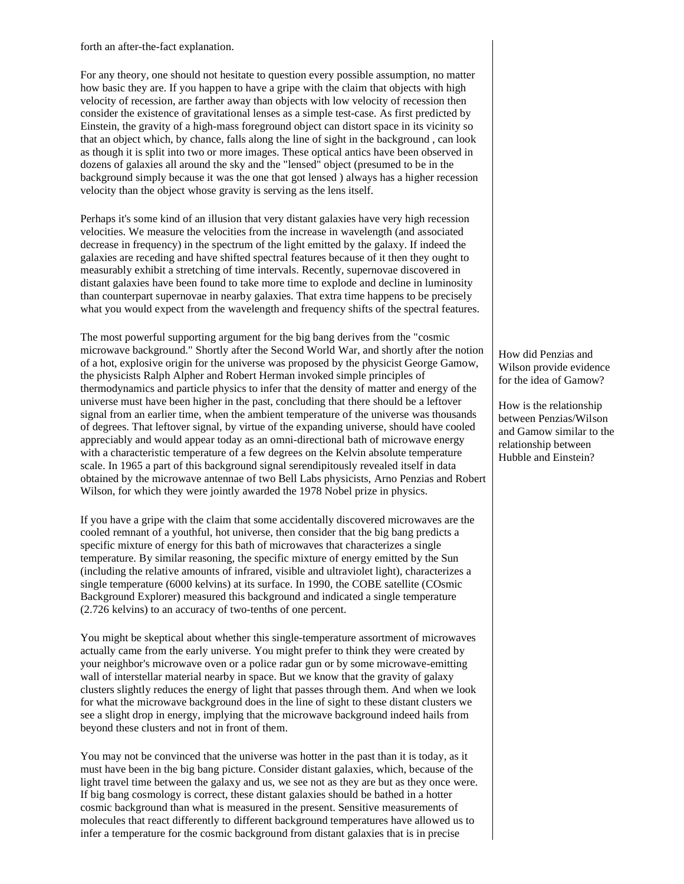forth an after-the-fact explanation.

For any theory, one should not hesitate to question every possible assumption, no matter how basic they are. If you happen to have a gripe with the claim that objects with high velocity of recession, are farther away than objects with low velocity of recession then consider the existence of gravitational lenses as a simple test-case. As first predicted by Einstein, the gravity of a high-mass foreground object can distort space in its vicinity so that an object which, by chance, falls along the line of sight in the background , can look as though it is split into two or more images. These optical antics have been observed in dozens of galaxies all around the sky and the "lensed" object (presumed to be in the background simply because it was the one that got lensed ) always has a higher recession velocity than the object whose gravity is serving as the lens itself.

Perhaps it's some kind of an illusion that very distant galaxies have very high recession velocities. We measure the velocities from the increase in wavelength (and associated decrease in frequency) in the spectrum of the light emitted by the galaxy. If indeed the galaxies are receding and have shifted spectral features because of it then they ought to measurably exhibit a stretching of time intervals. Recently, supernovae discovered in distant galaxies have been found to take more time to explode and decline in luminosity than counterpart supernovae in nearby galaxies. That extra time happens to be precisely what you would expect from the wavelength and frequency shifts of the spectral features.

The most powerful supporting argument for the big bang derives from the "cosmic microwave background." Shortly after the Second World War, and shortly after the notion of a hot, explosive origin for the universe was proposed by the physicist George Gamow, the physicists Ralph Alpher and Robert Herman invoked simple principles of thermodynamics and particle physics to infer that the density of matter and energy of the universe must have been higher in the past, concluding that there should be a leftover signal from an earlier time, when the ambient temperature of the universe was thousands of degrees. That leftover signal, by virtue of the expanding universe, should have cooled appreciably and would appear today as an omni-directional bath of microwave energy with a characteristic temperature of a few degrees on the Kelvin absolute temperature scale. In 1965 a part of this background signal serendipitously revealed itself in data obtained by the microwave antennae of two Bell Labs physicists, Arno Penzias and Robert Wilson, for which they were jointly awarded the 1978 Nobel prize in physics.

If you have a gripe with the claim that some accidentally discovered microwaves are the cooled remnant of a youthful, hot universe, then consider that the big bang predicts a specific mixture of energy for this bath of microwaves that characterizes a single temperature. By similar reasoning, the specific mixture of energy emitted by the Sun (including the relative amounts of infrared, visible and ultraviolet light), characterizes a single temperature (6000 kelvins) at its surface. In 1990, the COBE satellite (COsmic Background Explorer) measured this background and indicated a single temperature (2.726 kelvins) to an accuracy of two-tenths of one percent.

You might be skeptical about whether this single-temperature assortment of microwaves actually came from the early universe. You might prefer to think they were created by your neighbor's microwave oven or a police radar gun or by some microwave-emitting wall of interstellar material nearby in space. But we know that the gravity of galaxy clusters slightly reduces the energy of light that passes through them. And when we look for what the microwave background does in the line of sight to these distant clusters we see a slight drop in energy, implying that the microwave background indeed hails from beyond these clusters and not in front of them.

You may not be convinced that the universe was hotter in the past than it is today, as it must have been in the big bang picture. Consider distant galaxies, which, because of the light travel time between the galaxy and us, we see not as they are but as they once were. If big bang cosmology is correct, these distant galaxies should be bathed in a hotter cosmic background than what is measured in the present. Sensitive measurements of molecules that react differently to different background temperatures have allowed us to infer a temperature for the cosmic background from distant galaxies that is in precise

How did Penzias and Wilson provide evidence for the idea of Gamow?

How is the relationship between Penzias/Wilson and Gamow similar to the relationship between Hubble and Einstein?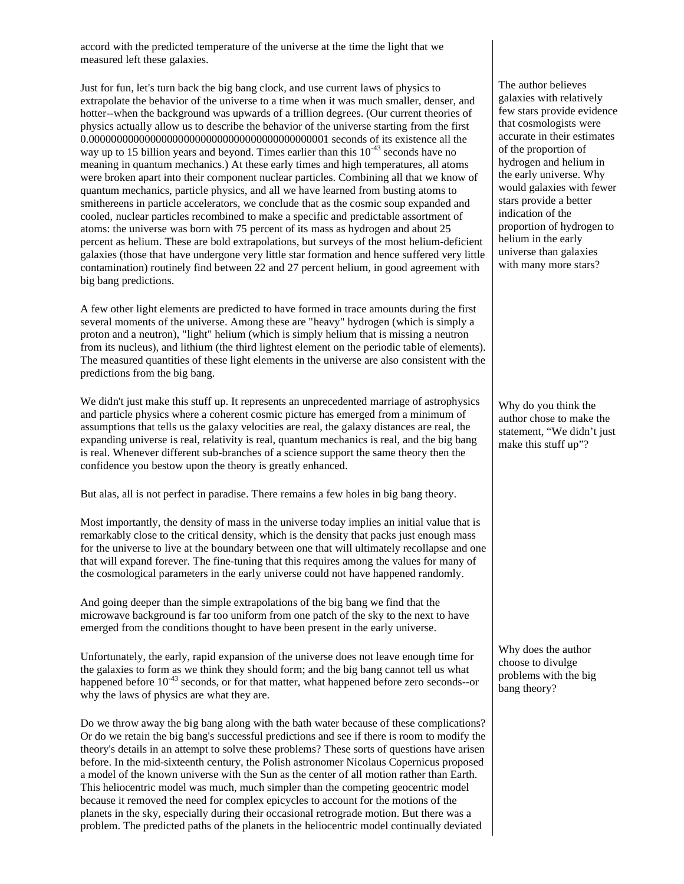accord with the predicted temperature of the universe at the time the light that we measured left these galaxies.

Just for fun, let's turn back the big bang clock, and use current laws of physics to extrapolate the behavior of the universe to a time when it was much smaller, denser, and hotter--when the background was upwards of a trillion degrees. (Our current theories of physics actually allow us to describe the behavior of the universe starting from the first 0.0000000000000000000000000000000000000000001 seconds of its existence all the way up to 15 billion years and beyond. Times earlier than this  $10^{-43}$  seconds have no meaning in quantum mechanics.) At these early times and high temperatures, all atoms were broken apart into their component nuclear particles. Combining all that we know of quantum mechanics, particle physics, and all we have learned from busting atoms to smithereens in particle accelerators, we conclude that as the cosmic soup expanded and cooled, nuclear particles recombined to make a specific and predictable assortment of atoms: the universe was born with 75 percent of its mass as hydrogen and about 25 percent as helium. These are bold extrapolations, but surveys of the most helium-deficient galaxies (those that have undergone very little star formation and hence suffered very little contamination) routinely find between 22 and 27 percent helium, in good agreement with big bang predictions.

A few other light elements are predicted to have formed in trace amounts during the first several moments of the universe. Among these are "heavy" hydrogen (which is simply a proton and a neutron), "light" helium (which is simply helium that is missing a neutron from its nucleus), and lithium (the third lightest element on the periodic table of elements). The measured quantities of these light elements in the universe are also consistent with the predictions from the big bang.

We didn't just make this stuff up. It represents an unprecedented marriage of astrophysics and particle physics where a coherent cosmic picture has emerged from a minimum of assumptions that tells us the galaxy velocities are real, the galaxy distances are real, the expanding universe is real, relativity is real, quantum mechanics is real, and the big bang is real. Whenever different sub-branches of a science support the same theory then the confidence you bestow upon the theory is greatly enhanced.

But alas, all is not perfect in paradise. There remains a few holes in big bang theory.

Most importantly, the density of mass in the universe today implies an initial value that is remarkably close to the critical density, which is the density that packs just enough mass for the universe to live at the boundary between one that will ultimately recollapse and one that will expand forever. The fine-tuning that this requires among the values for many of the cosmological parameters in the early universe could not have happened randomly.

And going deeper than the simple extrapolations of the big bang we find that the microwave background is far too uniform from one patch of the sky to the next to have emerged from the conditions thought to have been present in the early universe.

Unfortunately, the early, rapid expansion of the universe does not leave enough time for the galaxies to form as we think they should form; and the big bang cannot tell us what happened before  $10^{-43}$  seconds, or for that matter, what happened before zero seconds--or why the laws of physics are what they are.

Do we throw away the big bang along with the bath water because of these complications? Or do we retain the big bang's successful predictions and see if there is room to modify the theory's details in an attempt to solve these problems? These sorts of questions have arisen before. In the mid-sixteenth century, the Polish astronomer Nicolaus Copernicus proposed a model of the known universe with the Sun as the center of all motion rather than Earth. This heliocentric model was much, much simpler than the competing geocentric model because it removed the need for complex epicycles to account for the motions of the planets in the sky, especially during their occasional retrograde motion. But there was a problem. The predicted paths of the planets in the heliocentric model continually deviated

The author believes galaxies with relatively few stars provide evidence that cosmologists were accurate in their estimates of the proportion of hydrogen and helium in the early universe. Why would galaxies with fewer stars provide a better indication of the proportion of hydrogen to helium in the early universe than galaxies with many more stars?

Why do you think the author chose to make the statement, "We didn't just make this stuff up"?

Why does the author choose to divulge problems with the big bang theory?